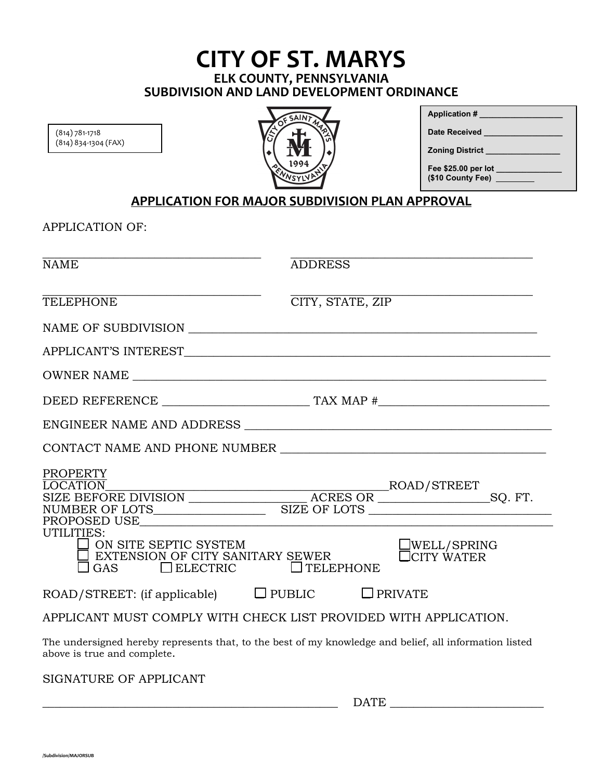### **CITY OF ST. MARYS ELK COUNTY, PENNSYLVANIA SUBDIVISION AND LAND DEVELOPMENT ORDINANCE**

(814) 781-1718 (814) 834-1304 (FAX)



| <b>Application #</b>                         |
|----------------------------------------------|
| Date Received                                |
| <b>Zoning District</b>                       |
| Fee \$25.00 per lot<br>(\$10 County Fee) ___ |

#### **APPLICATION FOR MAJOR SUBDIVISION PLAN APPROVAL**

APPLICATION OF:

| <b>NAME</b>                                                                                       | <b>ADDRESS</b>                                                                                                                                                                                                             |  |  |  |
|---------------------------------------------------------------------------------------------------|----------------------------------------------------------------------------------------------------------------------------------------------------------------------------------------------------------------------------|--|--|--|
| <b>TELEPHONE</b>                                                                                  | CITY, STATE, ZIP                                                                                                                                                                                                           |  |  |  |
|                                                                                                   |                                                                                                                                                                                                                            |  |  |  |
|                                                                                                   |                                                                                                                                                                                                                            |  |  |  |
|                                                                                                   |                                                                                                                                                                                                                            |  |  |  |
|                                                                                                   |                                                                                                                                                                                                                            |  |  |  |
|                                                                                                   |                                                                                                                                                                                                                            |  |  |  |
|                                                                                                   |                                                                                                                                                                                                                            |  |  |  |
| <b>PROPERTY</b>                                                                                   | LOCATION BUCATION BUCATION BUCATION BUCATION BUCATION BUCATION BUCATION BUCATION BUCATION BUCATION BUCATION BUCATION BUCATION BUCATION<br>BUCATION<br>BUCATION<br>BUCATION<br>BUCATION<br>BUCATION<br>BUCATION<br>BUCATION |  |  |  |
| UTILITIES:<br>ON SITE SEPTIC SYSTEM<br>EXTENSION OF CITY SANITARY SEWER<br>GAS<br>$\Box$ ELECTRIC | WELL/SPRING<br><b>CITY WATER</b><br>$\Box$ TELEPHONE                                                                                                                                                                       |  |  |  |
| $ROAD/STREF$ : (if applicable) $\Box$ PUBLIC                                                      | $\Box$ PRIVATE                                                                                                                                                                                                             |  |  |  |
| APPLICANT MUST COMPLY WITH CHECK LIST PROVIDED WITH APPLICATION.                                  |                                                                                                                                                                                                                            |  |  |  |
| above is true and complete.                                                                       | The undersigned hereby represents that, to the best of my knowledge and belief, all information listed                                                                                                                     |  |  |  |

SIGNATURE OF APPLICANT

 $\Box \text{ATE}$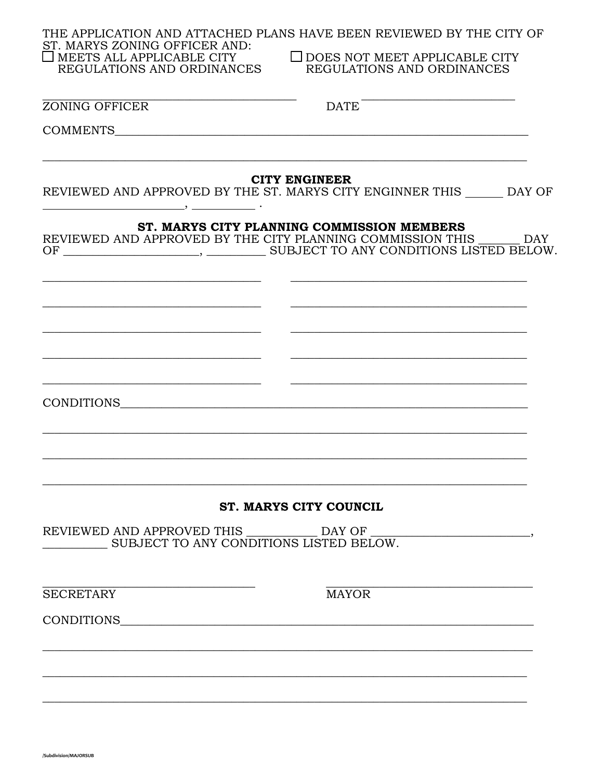| ST. MARYS ZONING OFFICER AND:<br>$\Box$ MEETS ALL APPLICABLE CITY                         | THE APPLICATION AND ATTACHED PLANS HAVE BEEN REVIEWED BY THE CITY OF<br>$\Box$ DOES NOT MEET APPLICABLE CITY                                                   |
|-------------------------------------------------------------------------------------------|----------------------------------------------------------------------------------------------------------------------------------------------------------------|
| REGULATIONS AND ORDINANCES                                                                | REGULATIONS AND ORDINANCES                                                                                                                                     |
| ZONING OFFICER                                                                            | <b>DATE</b>                                                                                                                                                    |
|                                                                                           |                                                                                                                                                                |
|                                                                                           | <b>CITY ENGINEER</b><br>REVIEWED AND APPROVED BY THE ST. MARYS CITY ENGINNER THIS DAY OF                                                                       |
| OF                                                                                        | ST. MARYS CITY PLANNING COMMISSION MEMBERS<br>REVIEWED AND APPROVED BY THE CITY PLANNING COMMISSION THIS ______ DAY<br>SUBJECT TO ANY CONDITIONS LISTED BELOW. |
|                                                                                           |                                                                                                                                                                |
|                                                                                           |                                                                                                                                                                |
|                                                                                           |                                                                                                                                                                |
| the control of the control of the control of the control of the control of the control of |                                                                                                                                                                |
|                                                                                           |                                                                                                                                                                |
|                                                                                           |                                                                                                                                                                |
|                                                                                           |                                                                                                                                                                |
|                                                                                           | <b>ST. MARYS CITY COUNCIL</b>                                                                                                                                  |
| SUBJECT TO ANY CONDITIONS LISTED BELOW.                                                   | REVIEWED AND APPROVED THIS _____________ DAY OF ________________________________                                                                               |
| <b>SECRETARY</b>                                                                          | <b>MAYOR</b>                                                                                                                                                   |
| CONDITIONS                                                                                |                                                                                                                                                                |
|                                                                                           |                                                                                                                                                                |
|                                                                                           |                                                                                                                                                                |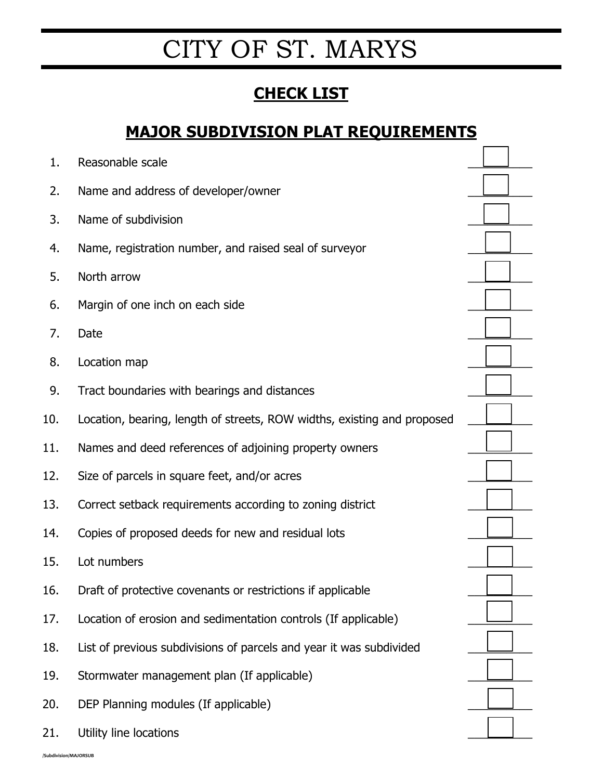# CITY OF ST. MARYS

## **CHECK LIST**

### **MAJOR SUBDIVISION PLAT REQUIREMENTS**

| 1.  | Reasonable scale                                                        |  |
|-----|-------------------------------------------------------------------------|--|
| 2.  | Name and address of developer/owner                                     |  |
| 3.  | Name of subdivision                                                     |  |
| 4.  | Name, registration number, and raised seal of surveyor                  |  |
| 5.  | North arrow                                                             |  |
| 6.  | Margin of one inch on each side                                         |  |
| 7.  | Date                                                                    |  |
| 8.  | Location map                                                            |  |
| 9.  | Tract boundaries with bearings and distances                            |  |
| 10. | Location, bearing, length of streets, ROW widths, existing and proposed |  |
| 11. | Names and deed references of adjoining property owners                  |  |
| 12. | Size of parcels in square feet, and/or acres                            |  |
| 13. | Correct setback requirements according to zoning district               |  |
| 14. | Copies of proposed deeds for new and residual lots                      |  |
| 15. | Lot numbers                                                             |  |
| 16. | Draft of protective covenants or restrictions if applicable             |  |
| 17. | Location of erosion and sedimentation controls (If applicable)          |  |
| 18. | List of previous subdivisions of parcels and year it was subdivided     |  |
| 19. | Stormwater management plan (If applicable)                              |  |
| 20. | DEP Planning modules (If applicable)                                    |  |
| 21. | Utility line locations                                                  |  |
|     |                                                                         |  |